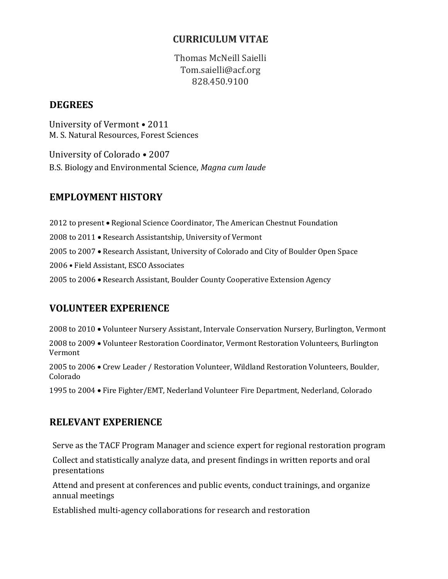### **CURRICULUM VITAE**

Thomas McNeill Saielli Tom.saielli@acf.org 828.450.9100

#### **DEGREES**

University of Vermont • 2011 M. S. Natural Resources, Forest Sciences

University of Colorado • 2007 B.S. Biology and Environmental Science, *Magna cum laude*

## **EMPLOYMENT HISTORY**

2012 to present • Regional Science Coordinator, The American Chestnut Foundation 2008 to 2011 • Research Assistantship, University of Vermont 2005 to 2007 Research Assistant, University of Colorado and City of Boulder Open Space 2006 • Field Assistant, ESCO Associates 2005 to 2006 Research Assistant, Boulder County Cooperative Extension Agency

# **VOLUNTEER EXPERIENCE**

2008 to 2010 Volunteer Nursery Assistant, Intervale Conservation Nursery, Burlington, Vermont

2008 to 2009 Volunteer Restoration Coordinator, Vermont Restoration Volunteers, Burlington Vermont

2005 to 2006 Crew Leader / Restoration Volunteer, Wildland Restoration Volunteers, Boulder, Colorado

1995 to 2004 Fire Fighter/EMT, Nederland Volunteer Fire Department, Nederland, Colorado

# **RELEVANT EXPERIENCE**

Serve as the TACF Program Manager and science expert for regional restoration program

Collect and statistically analyze data, and present findings in written reports and oral presentations

Attend and present at conferences and public events, conduct trainings, and organize annual meetings

Established multi-agency collaborations for research and restoration